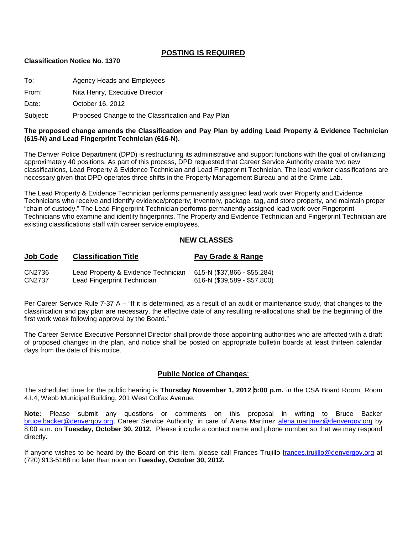## **POSTING IS REQUIRED**

#### **Classification Notice No. 1370**

To: Agency Heads and Employees

From: Nita Henry, Executive Director

Date: **October 16, 2012** 

Subject: Proposed Change to the Classification and Pay Plan

#### **The proposed change amends the Classification and Pay Plan by adding Lead Property & Evidence Technician (615-N) and Lead Fingerprint Technician (616-N).**

The Denver Police Department (DPD) is restructuring its administrative and support functions with the goal of civilianizing approximately 40 positions. As part of this process, DPD requested that Career Service Authority create two new classifications, Lead Property & Evidence Technician and Lead Fingerprint Technician. The lead worker classifications are necessary given that DPD operates three shifts in the Property Management Bureau and at the Crime Lab.

The Lead Property & Evidence Technician performs permanently assigned lead work over Property and Evidence Technicians who receive and identify evidence/property; inventory, package, tag, and store property, and maintain proper "chain of custody." The Lead Fingerprint Technician performs permanently assigned lead work over Fingerprint Technicians who examine and identify fingerprints. The Property and Evidence Technician and Fingerprint Technician are existing classifications staff with career service employees.

#### **NEW CLASSES**

| <b>Job Code</b> | <b>Classification Title</b>         | Pay Grade & Range           |
|-----------------|-------------------------------------|-----------------------------|
| CN2736          | Lead Property & Evidence Technician | 615-N (\$37,866 - \$55,284) |
| CN2737          | Lead Fingerprint Technician         | 616-N (\$39,589 - \$57,800) |

Per Career Service Rule 7-37 A – "If it is determined, as a result of an audit or maintenance study, that changes to the classification and pay plan are necessary, the effective date of any resulting re-allocations shall be the beginning of the first work week following approval by the Board."

The Career Service Executive Personnel Director shall provide those appointing authorities who are affected with a draft of proposed changes in the plan, and notice shall be posted on appropriate bulletin boards at least thirteen calendar days from the date of this notice.

#### **Public Notice of Changes**:

The scheduled time for the public hearing is **Thursday November 1, 2012 5:00 p.m.** in the CSA Board Room, Room 4.I.4, Webb Municipal Building, 201 West Colfax Avenue.

**Note:** Please submit any questions or comments on this proposal in writing to Bruce Backer [bruce.backer@denvergov.org,](mailto:bruce.backer@denvergov.org) Career Service Authority, in care of Alena Martinez [alena.martinez@denvergov.org](mailto:alena.martinez@denvergov.org) by 8:00 a.m. on **Tuesday, October 30, 2012.** Please include a contact name and phone number so that we may respond directly.

If anyone wishes to be heard by the Board on this item, please call Frances Trujillo [frances.trujillo@denvergov.org](mailto:frances.trujillo@denvergov.org) at (720) 913-5168 no later than noon on **Tuesday, October 30, 2012.**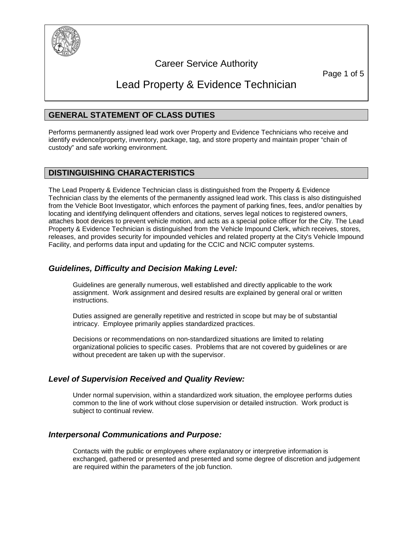

## Career Service Authority

Page 1 of 5

# Lead Property & Evidence Technician

## **GENERAL STATEMENT OF CLASS DUTIES**

Performs permanently assigned lead work over Property and Evidence Technicians who receive and identify evidence/property, inventory, package, tag, and store property and maintain proper "chain of custody" and safe working environment.

## **DISTINGUISHING CHARACTERISTICS**

The Lead Property & Evidence Technician class is distinguished from the Property & Evidence Technician class by the elements of the permanently assigned lead work. This class is also distinguished from the Vehicle Boot Investigator, which enforces the payment of parking fines, fees, and/or penalties by locating and identifying delinquent offenders and citations, serves legal notices to registered owners, attaches boot devices to prevent vehicle motion, and acts as a special police officer for the City. The Lead Property & Evidence Technician is distinguished from the Vehicle Impound Clerk, which receives, stores, releases, and provides security for impounded vehicles and related property at the City's Vehicle Impound Facility, and performs data input and updating for the CCIC and NCIC computer systems.

## *Guidelines, Difficulty and Decision Making Level:*

Guidelines are generally numerous, well established and directly applicable to the work assignment. Work assignment and desired results are explained by general oral or written instructions.

Duties assigned are generally repetitive and restricted in scope but may be of substantial intricacy. Employee primarily applies standardized practices.

Decisions or recommendations on non-standardized situations are limited to relating organizational policies to specific cases. Problems that are not covered by guidelines or are without precedent are taken up with the supervisor.

## *Level of Supervision Received and Quality Review:*

Under normal supervision, within a standardized work situation, the employee performs duties common to the line of work without close supervision or detailed instruction. Work product is subject to continual review.

## *Interpersonal Communications and Purpose:*

Contacts with the public or employees where explanatory or interpretive information is exchanged, gathered or presented and presented and some degree of discretion and judgement are required within the parameters of the job function.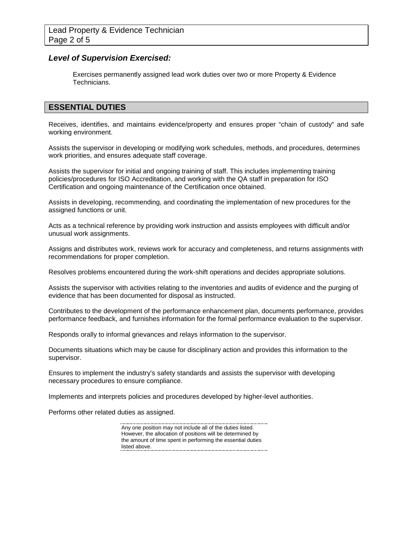## *Level of Supervision Exercised:*

Exercises permanently assigned lead work duties over two or more Property & Evidence Technicians.

## **ESSENTIAL DUTIES**

Receives, identifies, and maintains evidence/property and ensures proper "chain of custody" and safe working environment.

Assists the supervisor in developing or modifying work schedules, methods, and procedures, determines work priorities, and ensures adequate staff coverage.

Assists the supervisor for initial and ongoing training of staff. This includes implementing training policies/procedures for ISO Accreditation, and working with the QA staff in preparation for ISO Certification and ongoing maintenance of the Certification once obtained.

Assists in developing, recommending, and coordinating the implementation of new procedures for the assigned functions or unit.

Acts as a technical reference by providing work instruction and assists employees with difficult and/or unusual work assignments.

Assigns and distributes work, reviews work for accuracy and completeness, and returns assignments with recommendations for proper completion.

Resolves problems encountered during the work-shift operations and decides appropriate solutions.

Assists the supervisor with activities relating to the inventories and audits of evidence and the purging of evidence that has been documented for disposal as instructed.

Contributes to the development of the performance enhancement plan, documents performance, provides performance feedback, and furnishes information for the formal performance evaluation to the supervisor.

Responds orally to informal grievances and relays information to the supervisor.

Documents situations which may be cause for disciplinary action and provides this information to the supervisor.

Ensures to implement the industry's safety standards and assists the supervisor with developing necessary procedures to ensure compliance.

Implements and interprets policies and procedures developed by higher-level authorities.

Performs other related duties as assigned.

Any one position may not include all of the duties listed. However, the allocation of positions will be determined by the amount of time spent in performing the essential duties listed above.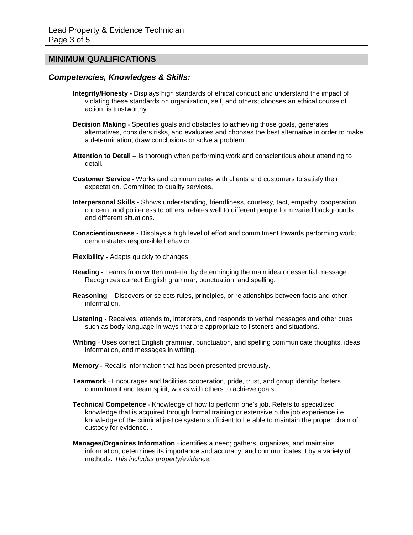## **MINIMUM QUALIFICATIONS**

#### *Competencies, Knowledges & Skills:*

- **Integrity/Honesty -** Displays high standards of ethical conduct and understand the impact of violating these standards on organization, self, and others; chooses an ethical course of action; is trustworthy.
- **Decision Making -** Specifies goals and obstacles to achieving those goals, generates alternatives, considers risks, and evaluates and chooses the best alternative in order to make a determination, draw conclusions or solve a problem.
- **Attention to Detail**  Is thorough when performing work and conscientious about attending to detail.
- **Customer Service -** Works and communicates with clients and customers to satisfy their expectation. Committed to quality services.
- **Interpersonal Skills -** Shows understanding, friendliness, courtesy, tact, empathy, cooperation, concern, and politeness to others; relates well to different people form varied backgrounds and different situations.
- **Conscientiousness -** Displays a high level of effort and commitment towards performing work; demonstrates responsible behavior.
- **Flexibility -** Adapts quickly to changes.
- **Reading -** Learns from written material by determinging the main idea or essential message. Recognizes correct English grammar, punctuation, and spelling.
- **Reasoning –** Discovers or selects rules, principles, or relationships between facts and other information.
- **Listening -** Receives, attends to, interprets, and responds to verbal messages and other cues such as body language in ways that are appropriate to listeners and situations.
- **Writing -** Uses correct English grammar, punctuation, and spelling communicate thoughts, ideas, information, and messages in writing.
- **Memory -** Recalls information that has been presented previously.
- **Teamwork -** Encourages and facilities cooperation, pride, trust, and group identity; fosters commitment and team spirit; works with others to achieve goals.
- **Technical Competence -** Knowledge of how to perform one's job. Refers to specialized knowledge that is acquired through formal training or extensive n the job experience i.e. knowledge of the criminal justice system sufficient to be able to maintain the proper chain of custody for evidence. .
- **Manages/Organizes Information -** identifies a need; gathers, organizes, and maintains information; determines its importance and accuracy, and communicates it by a variety of methods. *This includes property/evidence.*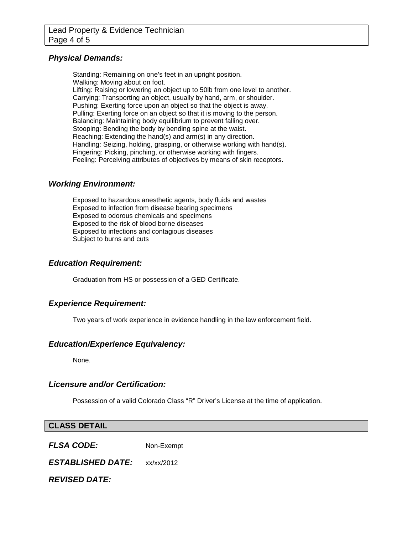## *Physical Demands:*

Standing: Remaining on one's feet in an upright position. Walking: Moving about on foot. Lifting: Raising or lowering an object up to 50lb from one level to another. Carrying: Transporting an object, usually by hand, arm, or shoulder. Pushing: Exerting force upon an object so that the object is away. Pulling: Exerting force on an object so that it is moving to the person. Balancing: Maintaining body equilibrium to prevent falling over. Stooping: Bending the body by bending spine at the waist. Reaching: Extending the hand(s) and arm(s) in any direction. Handling: Seizing, holding, grasping, or otherwise working with hand(s). Fingering: Picking, pinching, or otherwise working with fingers. Feeling: Perceiving attributes of objectives by means of skin receptors.

## *Working Environment:*

Exposed to hazardous anesthetic agents, body fluids and wastes Exposed to infection from disease bearing specimens Exposed to odorous chemicals and specimens Exposed to the risk of blood borne diseases Exposed to infections and contagious diseases Subject to burns and cuts

## *Education Requirement:*

Graduation from HS or possession of a GED Certificate.

## *Experience Requirement:*

Two years of work experience in evidence handling in the law enforcement field.

## *Education/Experience Equivalency:*

None.

#### *Licensure and/or Certification:*

Possession of a valid Colorado Class "R" Driver's License at the time of application.

| <b>CLASS DETAIL</b> |            |
|---------------------|------------|
| <b>FLSA CODE:</b>   | Non-Exempt |

*ESTABLISHED DATE:* xx/xx/2012

*REVISED DATE:*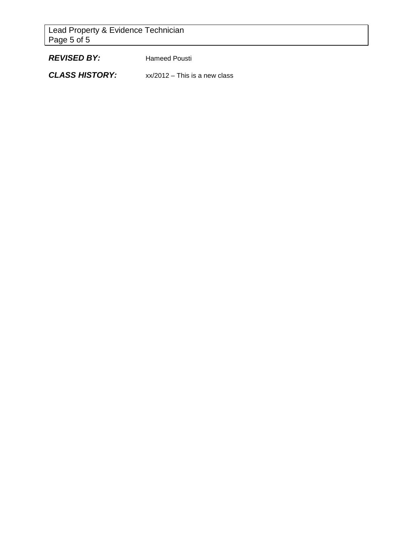Lead Property & Evidence Technician Page 5 of 5

*REVISED BY:* Hameed Pousti

*CLASS HISTORY:* xx/2012 – This is a new class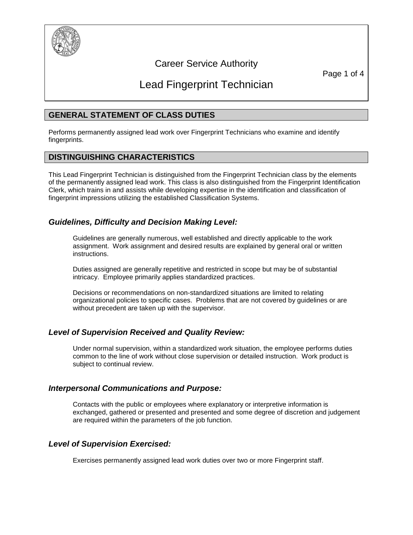

## Career Service Authority

Page 1 of 4

# Lead Fingerprint Technician

## **GENERAL STATEMENT OF CLASS DUTIES**

Performs permanently assigned lead work over Fingerprint Technicians who examine and identify fingerprints.

## **DISTINGUISHING CHARACTERISTICS**

This Lead Fingerprint Technician is distinguished from the Fingerprint Technician class by the elements of the permanently assigned lead work. This class is also distinguished from the Fingerprint Identification Clerk, which trains in and assists while developing expertise in the identification and classification of fingerprint impressions utilizing the established Classification Systems.

## *Guidelines, Difficulty and Decision Making Level:*

Guidelines are generally numerous, well established and directly applicable to the work assignment. Work assignment and desired results are explained by general oral or written instructions.

Duties assigned are generally repetitive and restricted in scope but may be of substantial intricacy. Employee primarily applies standardized practices.

Decisions or recommendations on non-standardized situations are limited to relating organizational policies to specific cases. Problems that are not covered by guidelines or are without precedent are taken up with the supervisor.

## *Level of Supervision Received and Quality Review:*

Under normal supervision, within a standardized work situation, the employee performs duties common to the line of work without close supervision or detailed instruction. Work product is subject to continual review.

## *Interpersonal Communications and Purpose:*

Contacts with the public or employees where explanatory or interpretive information is exchanged, gathered or presented and presented and some degree of discretion and judgement are required within the parameters of the job function.

## *Level of Supervision Exercised:*

Exercises permanently assigned lead work duties over two or more Fingerprint staff.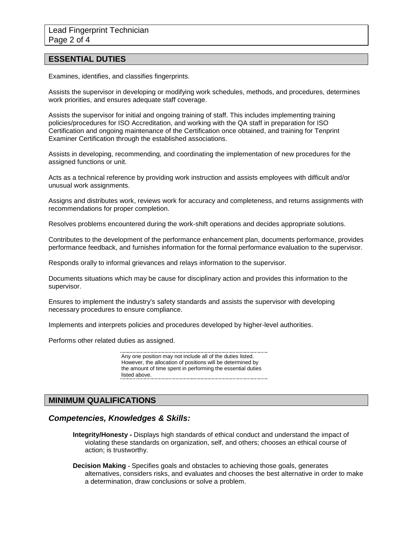#### **ESSENTIAL DUTIES**

Examines, identifies, and classifies fingerprints.

Assists the supervisor in developing or modifying work schedules, methods, and procedures, determines work priorities, and ensures adequate staff coverage.

Assists the supervisor for initial and ongoing training of staff. This includes implementing training policies/procedures for ISO Accreditation, and working with the QA staff in preparation for ISO Certification and ongoing maintenance of the Certification once obtained, and training for Tenprint Examiner Certification through the established associations.

Assists in developing, recommending, and coordinating the implementation of new procedures for the assigned functions or unit.

Acts as a technical reference by providing work instruction and assists employees with difficult and/or unusual work assignments.

Assigns and distributes work, reviews work for accuracy and completeness, and returns assignments with recommendations for proper completion.

Resolves problems encountered during the work-shift operations and decides appropriate solutions.

Contributes to the development of the performance enhancement plan, documents performance, provides performance feedback, and furnishes information for the formal performance evaluation to the supervisor.

Responds orally to informal grievances and relays information to the supervisor.

Documents situations which may be cause for disciplinary action and provides this information to the supervisor.

Ensures to implement the industry's safety standards and assists the supervisor with developing necessary procedures to ensure compliance.

Implements and interprets policies and procedures developed by higher-level authorities.

Performs other related duties as assigned.

Any one position may not include all of the duties listed. However, the allocation of positions will be determined by the amount of time spent in performing the essential duties listed above.

#### **MINIMUM QUALIFICATIONS**

#### *Competencies, Knowledges & Skills:*

- **Integrity/Honesty -** Displays high standards of ethical conduct and understand the impact of violating these standards on organization, self, and others; chooses an ethical course of action; is trustworthy.
- **Decision Making -** Specifies goals and obstacles to achieving those goals, generates alternatives, considers risks, and evaluates and chooses the best alternative in order to make a determination, draw conclusions or solve a problem.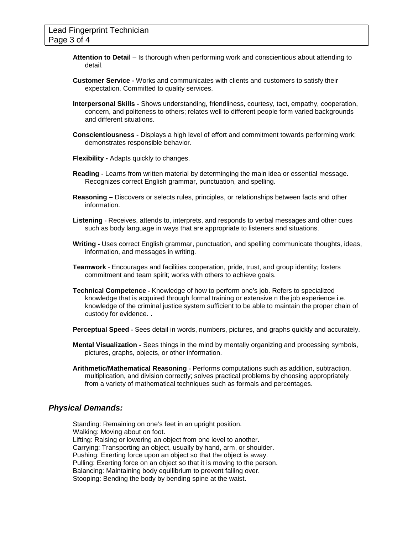- **Attention to Detail**  Is thorough when performing work and conscientious about attending to detail.
- **Customer Service -** Works and communicates with clients and customers to satisfy their expectation. Committed to quality services.
- **Interpersonal Skills -** Shows understanding, friendliness, courtesy, tact, empathy, cooperation, concern, and politeness to others; relates well to different people form varied backgrounds and different situations.
- **Conscientiousness -** Displays a high level of effort and commitment towards performing work; demonstrates responsible behavior.
- **Flexibility -** Adapts quickly to changes.
- **Reading -** Learns from written material by determinging the main idea or essential message. Recognizes correct English grammar, punctuation, and spelling.
- **Reasoning –** Discovers or selects rules, principles, or relationships between facts and other information.
- **Listening -** Receives, attends to, interprets, and responds to verbal messages and other cues such as body language in ways that are appropriate to listeners and situations.
- **Writing -** Uses correct English grammar, punctuation, and spelling communicate thoughts, ideas, information, and messages in writing.
- **Teamwork -** Encourages and facilities cooperation, pride, trust, and group identity; fosters commitment and team spirit; works with others to achieve goals.
- **Technical Competence -** Knowledge of how to perform one's job. Refers to specialized knowledge that is acquired through formal training or extensive n the job experience i.e. knowledge of the criminal justice system sufficient to be able to maintain the proper chain of custody for evidence. .

**Perceptual Speed -** Sees detail in words, numbers, pictures, and graphs quickly and accurately.

- **Mental Visualization -** Sees things in the mind by mentally organizing and processing symbols, pictures, graphs, objects, or other information.
- **Arithmetic/Mathematical Reasoning -** Performs computations such as addition, subtraction, multiplication, and division correctly; solves practical problems by choosing appropriately from a variety of mathematical techniques such as formals and percentages.

#### *Physical Demands:*

Standing: Remaining on one's feet in an upright position. Walking: Moving about on foot. Lifting: Raising or lowering an object from one level to another. Carrying: Transporting an object, usually by hand, arm, or shoulder. Pushing: Exerting force upon an object so that the object is away. Pulling: Exerting force on an object so that it is moving to the person. Balancing: Maintaining body equilibrium to prevent falling over. Stooping: Bending the body by bending spine at the waist.